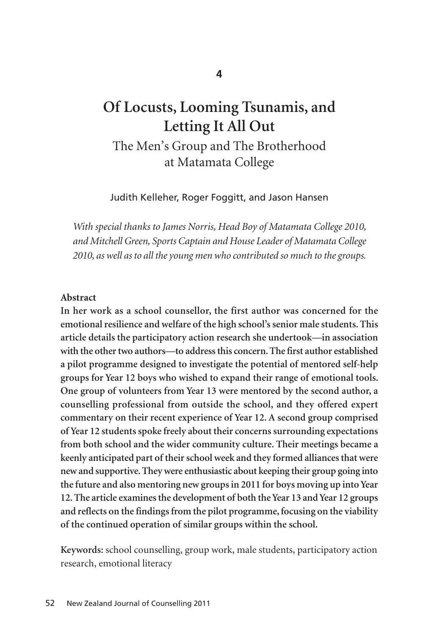# **Of Locusts, Looming Tsunamis, and Letting It All Out**

The Men's Group and The Brotherhood at Matamata College

Judith Kelleher, Roger Foggitt, and Jason Hansen

*With special thanks to James Norris, Head Boy of Matamata College 2010, and Mitchell Green, Sports Captain and House Leader of Matamata College 2010, as well as to all the young men who contributed so much to the groups.*

#### **Abstract**

**In her work as a school counsellor, the first author was concerned for the emotional resilience and welfare of the high school's senior male students. This article details the participatory action research she undertook—in association with the other two authors—to address this concern. The first author established a pilot programme designed to investigate the potential of mentored self-help groups for Year 12 boys who wished to expand their range of emotional tools. One group of volunteers from Year 13 were mentored by the second author, a counselling professional from outside the school, and they offered expert commentary on their recent experience of Year 12. A second group comprised of Year 12 students spoke freely about their concerns surrounding expectations from both school and the wider community culture. Their meetings became a keenly anticipated part of their school week and they formed alliances that were new and supportive. They were enthusiastic about keeping their group going into the future and also mentoring new groups in 2011 for boys moving up into Year 12. The article examines the development of both the Year 13 and Year 12 groups and reflects on the findings from the pilot programme, focusing on the viability of the continued operation of similar groups within the school.**

**Keywords:** school counselling, group work, male students, participatory action research, emotional literacy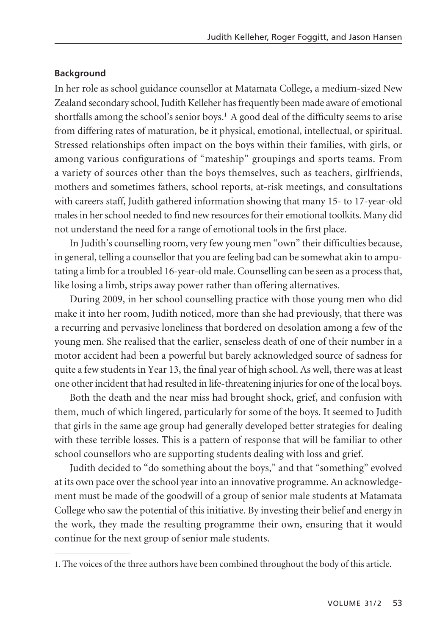## **Background**

In her role as school guidance counsellor at Matamata College, a medium-sized New Zealand secondary school, Judith Kelleher has frequently been made aware of emotional shortfalls among the school's senior boys.<sup>1</sup> A good deal of the difficulty seems to arise from differing rates of maturation, be it physical, emotional, intellectual, or spiritual. Stressed relationships often impact on the boys within their families, with girls, or among various configurations of "mateship" groupings and sports teams. From a variety of sources other than the boys themselves, such as teachers, girlfriends, mothers and sometimes fathers, school reports, at-risk meetings, and consultations with careers staff, Judith gathered information showing that many 15- to 17-year-old males in her school needed to find new resources for their emotional toolkits. Many did not understand the need for a range of emotional tools in the first place.

In Judith's counselling room, very few young men "own" their difficulties because, in general, telling a counsellor that you are feeling bad can be somewhat akin to ampu tating a limb for a troubled 16-year-old male. Counselling can be seen as a process that, like losing a limb, strips away power rather than offering alternatives.

During 2009, in her school counselling practice with those young men who did make it into her room, Judith noticed, more than she had previously, that there was a recurring and pervasive loneliness that bordered on desolation among a few of the young men. She realised that the earlier, senseless death of one of their number in a motor accident had been a powerful but barely acknowledged source of sadness for quite a few students in Year 13, the final year of high school. As well, there was at least one other incident that had resulted in life-threatening injuries for one of the local boys.

Both the death and the near miss had brought shock, grief, and confusion with them, much of which lingered, particularly for some of the boys. It seemed to Judith that girls in the same age group had generally developed better strategies for dealing with these terrible losses. This is a pattern of response that will be familiar to other school counsellors who are supporting students dealing with loss and grief.

Judith decided to "do something about the boys," and that "something" evolved at its own pace over the school year into an innovative programme. An acknowledge ment must be made of the goodwill of a group of senior male students at Matamata College who saw the potential of this initiative. By investing their belief and energy in the work, they made the resulting programme their own, ensuring that it would continue for the next group of senior male students.

<sup>1.</sup> The voices of the three authors have been combined throughout the body of this article.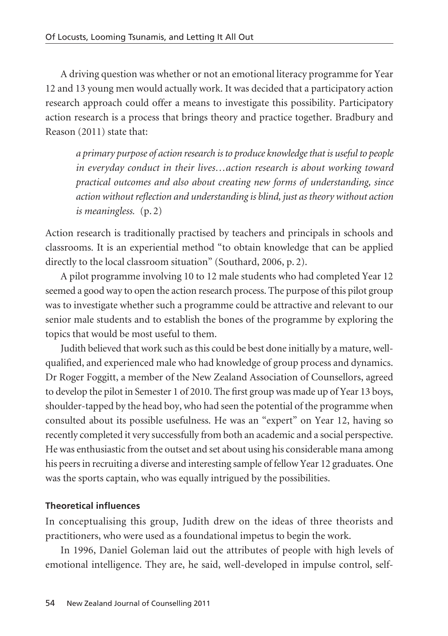A driving question was whether or not an emotional literacy programme for Year 12 and 13 young men would actually work. It was decided that a participatory action research approach could offer a means to investigate this possibility. Participatory action research is a process that brings theory and practice together. Bradbury and Reason (2011) state that:

*a primary purpose of action research is to produce knowledge that is useful to people in everyday conduct in their lives…action research is about working toward practical outcomes and also about creating new forms of understanding, since action without reflection and understanding is blind, just as theory without action is meaningless.* (p. 2)

Action research is traditionally practised by teachers and principals in schools and classrooms. It is an experiential method "to obtain knowledge that can be applied directly to the local classroom situation" (Southard, 2006, p. 2).

A pilot programme involving 10 to 12 male students who had completed Year 12 seemed a good way to open the action research process. The purpose of this pilot group was to investigate whether such a programme could be attractive and relevant to our senior male students and to establish the bones of the programme by exploring the topics that would be most useful to them.

Judith believed that work such as this could be best done initially by a mature, wellqualified, and experienced male who had knowledge of group process and dynamics. Dr Roger Foggitt, a member of the New Zealand Association of Counsellors, agreed to develop the pilot in Semester 1 of 2010. The first group was made up of Year 13 boys, shoulder-tapped by the head boy, who had seen the potential of the programme when consulted about its possible usefulness. He was an "expert" on Year 12, having so recently completed it very successfully from both an academic and a social perspective. He was enthusiastic from the outset and set about using his considerable mana among his peers in recruiting a diverse and interesting sample of fellow Year 12 graduates. One was the sports captain, who was equally intrigued by the possibilities.

# **Theoretical influences**

In conceptualising this group, Judith drew on the ideas of three theorists and practitioners, who were used as a foundational impetus to begin the work.

In 1996, Daniel Goleman laid out the attributes of people with high levels of emotional intelligence. They are, he said, well-developed in impulse control, self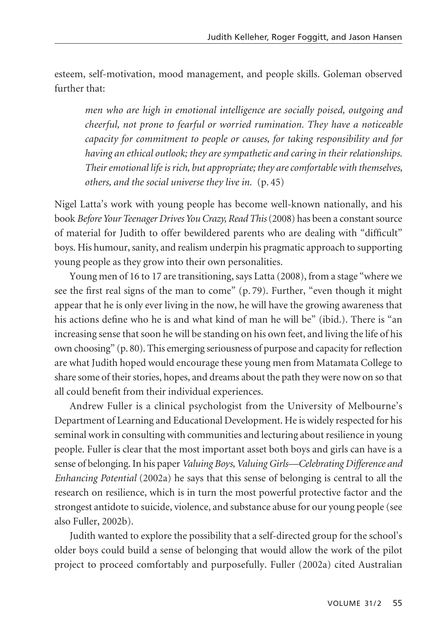esteem, self-motivation, mood management, and people skills. Goleman observed further that:

*men who are high in emotional intelligence are socially poised, outgoing and cheerful, not prone to fearful or worried rumination. They have a noticeable capacity for commitment to people or causes, for taking responsibility and for having an ethical outlook; they are sympathetic and caring in their relationships. Their emotional life is rich, but appropriate; they are comfortable with themselves, others, and the social universe they live in.* (p. 45)

Nigel Latta's work with young people has become well-known nationally, and his book *Before Your Teenager Drives You Crazy, Read This*(2008) has been a constant source of material for Judith to offer bewildered parents who are dealing with "difficult" boys. His humour, sanity, and realism underpin his pragmatic approach to supporting young people as they grow into their own personalities.

Young men of 16 to 17 are transitioning, says Latta (2008), from a stage "where we see the first real signs of the man to come" (p. 79). Further, "even though it might appear that he is only ever living in the now, he will have the growing awareness that his actions define who he is and what kind of man he will be" (ibid.). There is "an increasing sense that soon he will be standing on his own feet, and living the life of his own choosing" (p. 80). This emerging seriousness of purpose and capacity for reflection are what Judith hoped would encourage these young men from Matamata College to share some of their stories, hopes, and dreams about the path they were now on so that all could benefit from their individual experiences.

Andrew Fuller is a clinical psychologist from the University of Melbourne's Department of Learning and Educational Development. He is widely respected for his seminal work in consulting with communities and lecturing about resilience in young people. Fuller is clear that the most important asset both boys and girls can have is a sense of belonging. In his paper *Valuing Boys, Valuing Girls—Celebrating Difference and Enhancing Potential* (2002a) he says that this sense of belonging is central to all the research on resilience, which is in turn the most powerful protective factor and the strongest antidote to suicide, violence, and substance abuse for our young people (see also Fuller, 2002b).

Judith wanted to explore the possibility that a self-directed group for the school's older boys could build a sense of belonging that would allow the work of the pilot project to proceed comfortably and purposefully. Fuller (2002a) cited Australian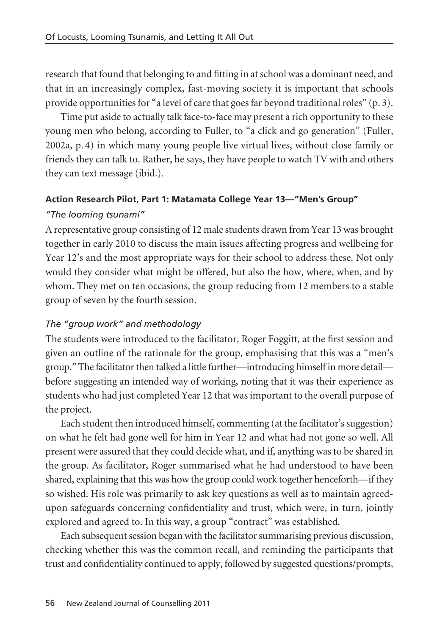research that found that belonging to and fitting in at school was a dominant need, and that in an increasingly complex, fast-moving society it is important that schools provide opportunities for "a level of care that goes far beyond traditional roles" (p. 3).

Time put aside to actually talk face-to-face may present a rich opportunity to these young men who belong, according to Fuller, to "a click and go generation" (Fuller, 2002a, p. 4) in which many young people live virtual lives, without close family or friends they can talk to. Rather, he says, they have people to watch TV with and others they can text message (ibid.).

# **Action Research Pilot, Part 1: Matamata College Year 13—"Men's Group"**  *"The looming tsunami"*

A representative group consisting of 12 male students drawn from Year 13 was brought together in early 2010 to discuss the main issues affecting progress and wellbeing for Year 12's and the most appropriate ways for their school to address these. Not only would they consider what might be offered, but also the how, where, when, and by whom. They met on ten occasions, the group reducing from 12 members to a stable group of seven by the fourth session.

# *The "group work" and methodology*

The students were introduced to the facilitator, Roger Foggitt, at the first session and given an outline of the rationale for the group, emphasising that this was a "men's group." The facilitator then talked a little further—introducing himself in more detail before suggesting an intended way of working, noting that it was their experience as students who had just completed Year 12 that was important to the overall purpose of the project.

Each student then introduced himself, commenting (at the facilitator's suggestion) on what he felt had gone well for him in Year 12 and what had not gone so well. All present were assured that they could decide what, and if, anything was to be shared in the group. As facilitator, Roger summarised what he had understood to have been shared, explaining that this was how the group could work together henceforth—if they so wished. His role was primarily to ask key questions as well as to maintain agreedupon safeguards concerning confidentiality and trust, which were, in turn, jointly explored and agreed to. In this way, a group "contract" was established.

Each subsequent session began with the facilitator summarising previous discussion, checking whether this was the common recall, and reminding the participants that trust and confidentiality continued to apply, followed by suggested questions/prompts,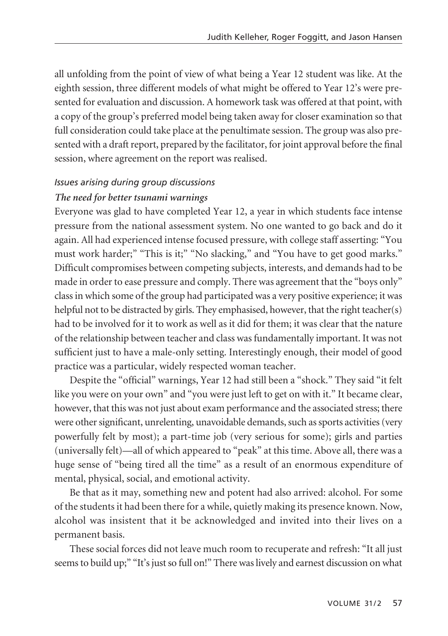all unfolding from the point of view of what being a Year 12 student was like. At the eighth session, three different models of what might be offered to Year 12's were presented for evaluation and discussion. A homework task was offered at that point, with a copy of the group's preferred model being taken away for closer examination so that full consideration could take place at the penultimate session. The group was also presented with a draft report, prepared by the facilitator, for joint approval before the final session, where agreement on the report was realised.

## *Issues arising during group discussions*

## *The need for better tsunami warnings*

Everyone was glad to have completed Year 12, a year in which students face intense pressure from the national assessment system. No one wanted to go back and do it again. All had experienced intense focused pressure, with college staff asserting: "You must work harder;" "This is it;" "No slacking," and "You have to get good marks." Difficult compromises between competing subjects, interests, and demands had to be made in order to ease pressure and comply. There was agreement that the "boys only" class in which some of the group had participated was a very positive experience; it was helpful not to be distracted by girls. They emphasised, however, that the right teacher(s) had to be involved for it to work as well as it did for them; it was clear that the nature of the relationship between teacher and class was fundamentally important. It was not sufficient just to have a male-only setting. Interestingly enough, their model of good practice was a particular, widely respected woman teacher.

Despite the "official" warnings, Year 12 had still been a "shock." They said "it felt like you were on your own" and "you were just left to get on with it." It became clear, however, that this was not just about exam performance and the associated stress; there were other significant, unrelenting, unavoidable demands, such as sports activities (very powerfully felt by most); a part-time job (very serious for some); girls and parties (universally felt)—all of which appeared to "peak" at this time. Above all, there was a huge sense of "being tired all the time" as a result of an enormous expenditure of mental, physical, social, and emotional activity.

Be that as it may, something new and potent had also arrived: alcohol. For some of the students it had been there for a while, quietly making its presence known. Now, alcohol was insistent that it be acknowledged and invited into their lives on a permanent basis.

These social forces did not leave much room to recuperate and refresh: "It all just seems to build up;" "It's just so full on!" There was lively and earnest discussion on what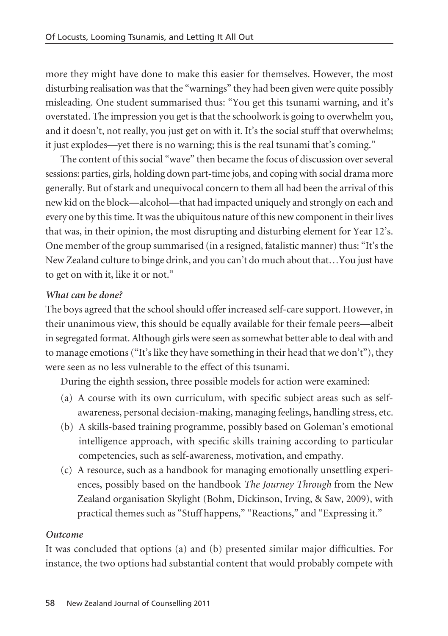more they might have done to make this easier for themselves. However, the most disturbing realisation was that the "warnings" they had been given were quite possibly misleading. One student summarised thus: "You get this tsunami warning, and it's overstated. The impression you get is that the schoolwork is going to overwhelm you, and it doesn't, not really, you just get on with it. It's the social stuff that overwhelms; it just explodes—yet there is no warning; this is the real tsunami that's coming."

The content of this social "wave" then became the focus of discussion over several sessions: parties, girls, holding down part-time jobs, and coping with social drama more generally. But of stark and unequivocal concern to them all had been the arrival of this new kid on the block—alcohol—that had impacted uniquely and strongly on each and every one by this time. It was the ubiquitous nature of this new component in their lives that was, in their opinion, the most disrupting and disturbing element for Year 12's. One member of the group summarised (in a resigned, fatalistic manner) thus: "It's the New Zealand culture to binge drink, and you can't do much about that…You just have to get on with it, like it or not."

# *What can be done?*

The boys agreed that the school should offer increased self-care support. However, in their unanimous view, this should be equally available for their female peers—albeit in segregated format. Although girls were seen as somewhat better able to deal with and to manage emotions ("It's like they have something in their head that we don't"), they were seen as no less vulnerable to the effect of this tsunami.

During the eighth session, three possible models for action were examined:

- (a) A course with its own curriculum, with specific subject areas such as selfawareness, personal decision-making, managing feelings, handling stress, etc.
- (b) A skills-based training programme, possibly based on Goleman's emotional intelligence approach, with specific skills training according to particular competencies, such as self-awareness, motivation, and empathy.
- (c) A resource, such as a handbook for managing emotionally unsettling experiences, possibly based on the handbook *The Journey Through* from the New Zealand organisation Skylight (Bohm, Dickinson, Irving, & Saw, 2009), with practical themes such as "Stuff happens," "Reactions," and "Expressing it."

## *Outcome*

It was concluded that options (a) and (b) presented similar major difficulties. For instance, the two options had substantial content that would probably compete with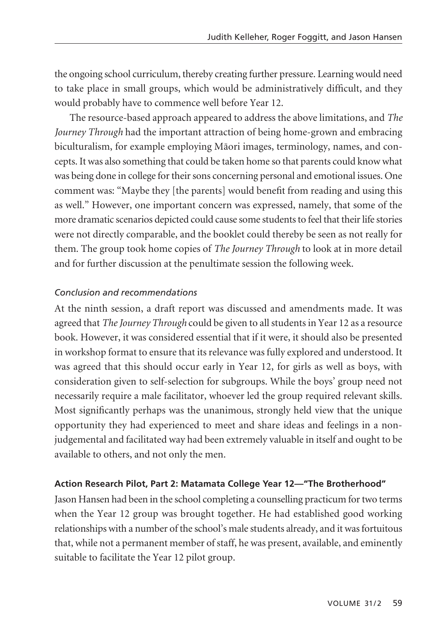the ongoing school curriculum, thereby creating further pressure. Learning would need to take place in small groups, which would be administratively difficult, and they would probably have to commence well before Year 12.

The resource-based approach appeared to address the above limitations, and *The Journey Through* had the important attraction of being home-grown and embracing biculturalism, for example employing Māori images, terminology, names, and concepts. It was also something that could be taken home so that parents could know what was being done in college for their sons concerning personal and emotional issues. One comment was: "Maybe they [the parents] would benefit from reading and using this as well." However, one important concern was expressed, namely, that some of the more dramatic scenarios depicted could cause some students to feel that their life stories were not directly comparable, and the booklet could thereby be seen as not really for them. The group took home copies of *The Journey Through* to look at in more detail and for further discussion at the penultimate session the following week.

## *Conclusion and recommendations*

At the ninth session, a draft report was discussed and amendments made. It was agreed that *The Journey Through* could be given to all students in Year 12 as a resource book. However, it was considered essential that if it were, it should also be presented in workshop format to ensure that its relevance was fully explored and understood. It was agreed that this should occur early in Year 12, for girls as well as boys, with consideration given to self-selection for subgroups. While the boys' group need not necessarily require a male facilitator, whoever led the group required relevant skills. Most significantly perhaps was the unanimous, strongly held view that the unique opportunity they had experienced to meet and share ideas and feelings in a nonjudgemental and facilitated way had been extremely valuable in itself and ought to be available to others, and not only the men.

## **Action Research Pilot, Part 2: Matamata College Year 12—"The Brotherhood"**

Jason Hansen had been in the school completing a counselling practicum for two terms when the Year 12 group was brought together. He had established good working relationships with a number of the school's male students already, and it was fortuitous that, while not a permanent member of staff, he was present, available, and eminently suitable to facilitate the Year 12 pilot group.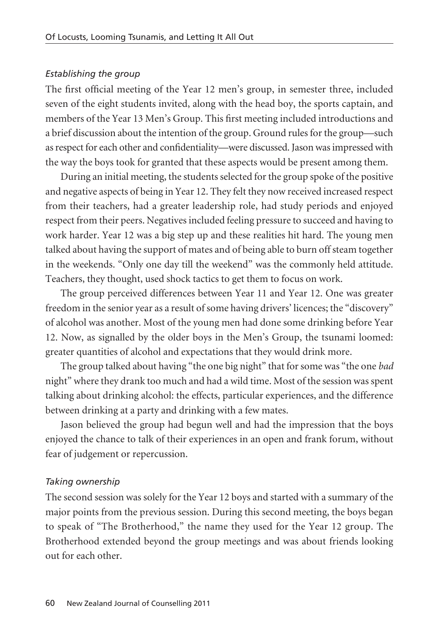#### *Establishing the group*

The first official meeting of the Year 12 men's group, in semester three, included seven of the eight students invited, along with the head boy, the sports captain, and members of the Year 13 Men's Group. This first meeting included introductions and a brief discussion about the intention of the group. Ground rules for the group—such as respect for each other and confidentiality—were discussed. Jason was impressed with the way the boys took for granted that these aspects would be present among them.

During an initial meeting, the students selected for the group spoke of the positive and negative aspects of being in Year 12. They felt they now received increased respect from their teachers, had a greater leadership role, had study periods and enjoyed respect from their peers. Negatives included feeling pressure to succeed and having to work harder. Year 12 was a big step up and these realities hit hard. The young men talked about having the support of mates and of being able to burn off steam together in the weekends. "Only one day till the weekend" was the commonly held attitude. Teachers, they thought, used shock tactics to get them to focus on work.

The group perceived differences between Year 11 and Year 12. One was greater freedom in the senior year as a result of some having drivers' licences; the "discovery" of alcohol was another. Most of the young men had done some drinking before Year 12. Now, as signalled by the older boys in the Men's Group, the tsunami loomed: greater quantities of alcohol and expectations that they would drink more.

The group talked about having "the one big night" that for some was "the one *bad* night" where they drank too much and had a wild time. Most of the session was spent talking about drinking alcohol: the effects, particular experiences, and the difference between drinking at a party and drinking with a few mates.

Jason believed the group had begun well and had the impression that the boys enjoyed the chance to talk of their experiences in an open and frank forum, without fear of judgement or repercussion.

#### *Taking ownership*

The second session was solely for the Year 12 boys and started with a summary of the major points from the previous session. During this second meeting, the boys began to speak of "The Brotherhood," the name they used for the Year 12 group. The Brotherhood extended beyond the group meetings and was about friends looking out for each other.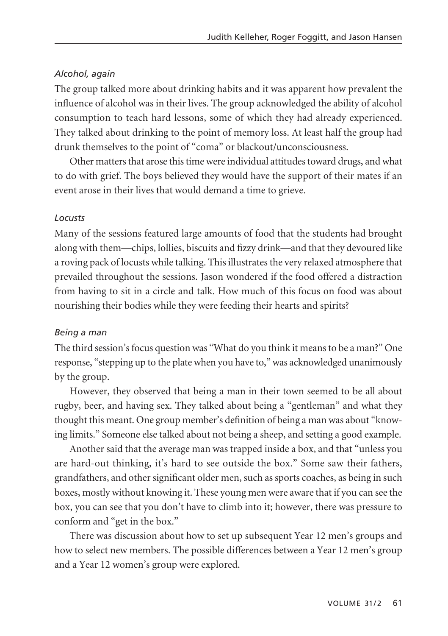## *Alcohol, again*

The group talked more about drinking habits and it was apparent how prevalent the influence of alcohol was in their lives. The group acknowledged the ability of alcohol consumption to teach hard lessons, some of which they had already experienced. They talked about drinking to the point of memory loss. At least half the group had drunk themselves to the point of "coma" or blackout/unconsciousness.

Other matters that arose this time were individual attitudes toward drugs, and what to do with grief. The boys believed they would have the support of their mates if an event arose in their lives that would demand a time to grieve.

## *Locusts*

Many of the sessions featured large amounts of food that the students had brought along with them—chips, lollies, biscuits and fizzy drink—and that they devoured like a roving pack of locusts while talking. This illustrates the very relaxed atmosphere that prevailed throughout the sessions. Jason wondered if the food offered a distraction from having to sit in a circle and talk. How much of this focus on food was about nourishing their bodies while they were feeding their hearts and spirits?

## *Being a man*

The third session's focus question was "What do you think it means to be a man?" One response, "stepping up to the plate when you have to," was acknowledged unanimously by the group.

However, they observed that being a man in their town seemed to be all about rugby, beer, and having sex. They talked about being a "gentleman" and what they thought this meant. One group member's definition of being a man was about "knowing limits." Someone else talked about not being a sheep, and setting a good example.

Another said that the average man was trapped inside a box, and that "unless you are hard-out thinking, it's hard to see outside the box." Some saw their fathers, grandfathers, and other significant older men, such as sports coaches, as being in such boxes, mostly without knowing it. These young men were aware that if you can see the box, you can see that you don't have to climb into it; however, there was pressure to conform and "get in the box."

There was discussion about how to set up subsequent Year 12 men's groups and how to select new members. The possible differences between a Year 12 men's group and a Year 12 women's group were explored.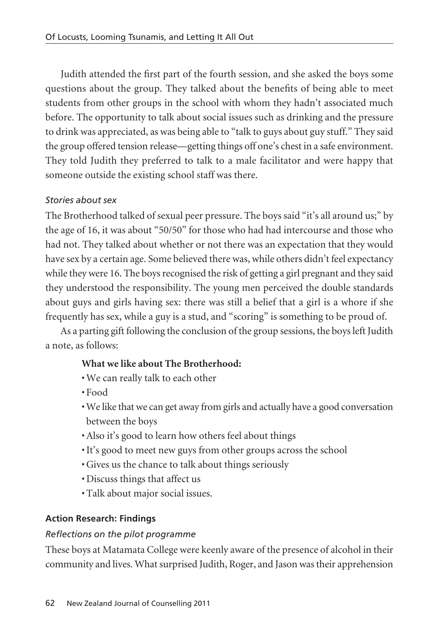Judith attended the first part of the fourth session, and she asked the boys some questions about the group. They talked about the benefits of being able to meet students from other groups in the school with whom they hadn't associated much before. The opportunity to talk about social issues such as drinking and the pressure to drink was appreciated, as was being able to "talk to guys about guy stuff." They said the group offered tension release—getting things off one's chest in a safe environment. They told Judith they preferred to talk to a male facilitator and were happy that someone outside the existing school staff was there.

## *Stories about sex*

The Brotherhood talked of sexual peer pressure. The boys said "it's all around us;" by the age of 16, it was about "50/50" for those who had had intercourse and those who had not. They talked about whether or not there was an expectation that they would have sex by a certain age. Some believed there was, while others didn't feel expectancy while they were 16. The boys recognised the risk of getting a girl pregnant and they said they understood the responsibility. The young men perceived the double standards about guys and girls having sex: there was still a belief that a girl is a whore if she frequently has sex, while a guy is a stud, and "scoring" is something to be proud of.

As a parting gift following the conclusion of the group sessions, the boys left Judith a note, as follows:

## **What we like about The Brotherhood:**

- We can really talk to each other
- Food
- We like that we can get away from girls and actually have a good conversation between the boys
- Also it's good to learn how others feel about things
- It's good to meet new guys from other groups across the school
- Gives us the chance to talk about things seriously
- Discuss things that affect us
- Talk about major social issues.

## **Action Research: Findings**

## *Reflections on the pilot programme*

These boys at Matamata College were keenly aware of the presence of alcohol in their community and lives. What surprised Judith, Roger, and Jason was their apprehension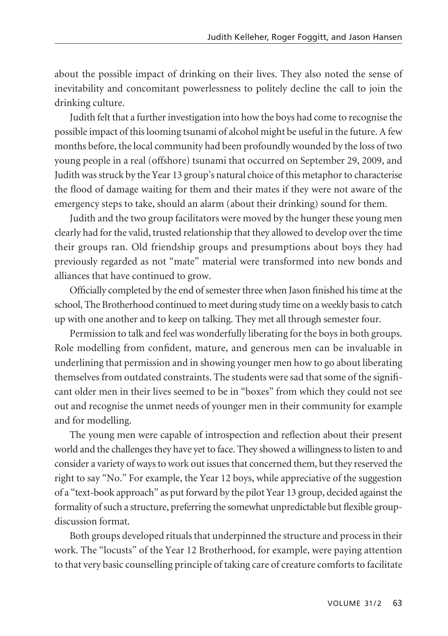about the possible impact of drinking on their lives. They also noted the sense of inevitability and concomitant powerlessness to politely decline the call to join the drinking culture.

Judith felt that a further investigation into how the boys had come to recognise the possible impact of this looming tsunami of alcohol might be useful in the future. A few months before, the local community had been profoundly wounded by the loss of two young people in a real (offshore) tsunami that occurred on September 29, 2009, and Judith was struck by the Year 13 group's natural choice of this metaphor to characterise the flood of damage waiting for them and their mates if they were not aware of the emergency steps to take, should an alarm (about their drinking) sound for them.

Judith and the two group facilitators were moved by the hunger these young men clearly had for the valid, trusted relationship that they allowed to develop over the time their groups ran. Old friendship groups and presumptions about boys they had previously regarded as not "mate" material were transformed into new bonds and alliances that have continued to grow.

Officially completed by the end of semester three when Jason finished his time at the school, The Brotherhood continued to meet during study time on a weekly basis to catch up with one another and to keep on talking. They met all through semester four.

Permission to talk and feel was wonderfully liberating for the boys in both groups. Role modelling from confident, mature, and generous men can be invaluable in underlining that permission and in showing younger men how to go about liberating themselves from outdated constraints. The students were sad that some of the signifi cant older men in their lives seemed to be in "boxes" from which they could not see out and recognise the unmet needs of younger men in their community for example and for modelling.

The young men were capable of introspection and reflection about their present world and the challenges they have yet to face. They showed a willingness to listen to and consider a variety of ways to work out issues that concerned them, but they reserved the right to say "No." For example, the Year 12 boys, while appreciative of the suggestion of a "text-book approach" as put forward by the pilot Year 13 group, decided against the formality of such a structure, preferring the somewhat unpredictable but flexible groupdiscussion format.

Both groups developed rituals that underpinned the structure and process in their work. The "locusts" of the Year 12 Brotherhood, for example, were paying attention to that very basic counselling principle of taking care of creature comforts to facilitate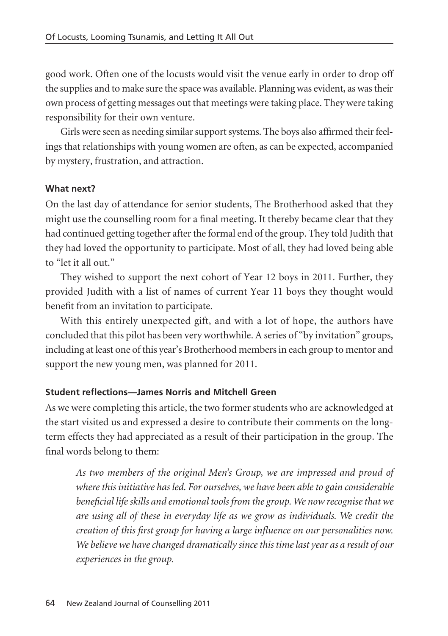good work. Often one of the locusts would visit the venue early in order to drop off the supplies and to make sure the space was available. Planning was evident, as was their own process of getting messages out that meetings were taking place. They were taking responsibility for their own venture.

Girls were seen as needing similar support systems. The boys also affirmed their feelings that relationships with young women are often, as can be expected, accompanied by mystery, frustration, and attraction.

## **What next?**

On the last day of attendance for senior students, The Brotherhood asked that they might use the counselling room for a final meeting. It thereby became clear that they had continued getting together after the formal end of the group. They told Judith that they had loved the opportunity to participate. Most of all, they had loved being able to "let it all out."

They wished to support the next cohort of Year 12 boys in 2011. Further, they provided Judith with a list of names of current Year 11 boys they thought would benefit from an invitation to participate.

With this entirely unexpected gift, and with a lot of hope, the authors have concluded that this pilot has been very worthwhile. A series of "by invitation" groups, including at least one of this year's Brotherhood members in each group to mentor and support the new young men, was planned for 2011.

## **Student reflections—James Norris and Mitchell Green**

As we were completing this article, the two former students who are acknowledged at the start visited us and expressed a desire to contribute their comments on the longterm effects they had appreciated as a result of their participation in the group. The final words belong to them:

*As two members of the original Men's Group, we are impressed and proud of where this initiative has led. For ourselves, we have been able to gain considerable beneficial life skills and emotional tools from the group. We now recognise that we are using all of these in everyday life as we grow as individuals. We credit the creation of this first group for having a large influence on our personalities now. We believe we have changed dramatically since this time last year as a result of our experiences in the group.*